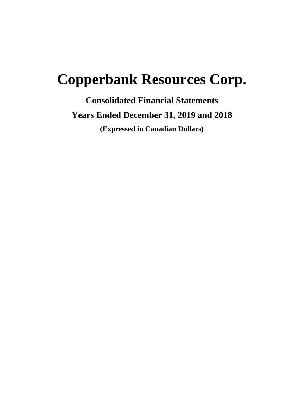# **Copperbank Resources Corp.**

**Consolidated Financial Statements Years Ended December 31, 2019 and 2018 (Expressed in Canadian Dollars)**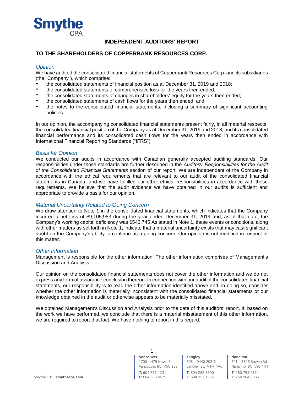

# **INDEPENDENT AUDITORS' REPORT**

# **TO THE SHAREHOLDERS OF COPPERBANK RESOURCES CORP.**

# *Opinion*

We have audited the consolidated financial statements of Copperbank Resources Corp. and its subsidiaries (the "Company"), which comprise:

- the consolidated statements of financial position as at December 31, 2019 and 2018;<br>
the consolidated statements of comprehensive loss for the vears then ended:
- the consolidated statements of comprehensive loss for the years then ended;
- the consolidated statements of changes in shareholders' equity for the years then ended;
- the consolidated statements of cash flows for the years then ended; and
- the notes to the consolidated financial statements, including a summary of significant accounting policies.

In our opinion, the accompanying consolidated financial statements present fairly, in all material respects, the consolidated financial position of the Company as at December 31, 2019 and 2018, and its consolidated financial performance and its consolidated cash flows for the years then ended in accordance with International Financial Reporting Standards ("IFRS").

# *Basis for Opinion*

We conducted our audits in accordance with Canadian generally accepted auditing standards. Our responsibilities under those standards are further described in the *Auditors' Responsibilities for the Audit of the Consolidated Financial Statements* section of our report. We are independent of the Company in accordance with the ethical requirements that are relevant to our audit of the consolidated financial statements in Canada, and we have fulfilled our other ethical responsibilities in accordance with these requirements. We believe that the audit evidence we have obtained in our audits is sufficient and appropriate to provide a basis for our opinion.

# *Material Uncertainty Related to Going Concern*

We draw attention to Note 1 in the consolidated financial statements, which indicates that the Company incurred a net loss of \$9,105,983 during the year ended December 31, 2019 and, as of that date, the Company's working capital deficiency was \$543,745 As stated in Note 1, these events or conditions, along with other matters as set forth in Note 1, indicate that a material uncertainty exists that may cast significant doubt on the Company's ability to continue as a going concern. Our opinion is not modified in respect of this matter.

# *Other Information*

Management is responsible for the other information. The other information comprises of Management's Discussion and Analysis.

Our opinion on the consolidated financial statements does not cover the other information and we do not express any form of assurance conclusion thereon. In connection with our audit of the consolidated financial statements, our responsibility is to read the other information identified above and, in doing so, consider whether the other information is materially inconsistent with the consolidated financial statements or our knowledge obtained in the audit or otherwise appears to be materially misstated.

We obtained Management's Discussion and Analysis prior to the date of this auditors' report. If, based on the work we have performed, we conclude that there is a material misstatement of this other information, we are required to report that fact. We have nothing to report in this regard.

> **Vancouver** 1700 – 475 Howe St Vancouver, BC V6C 2B3 1

**T:** 604 687 1231

**T:** 604 282 3600 **F:** 604 357 1376 **Langley** 305 – 9440 202 St Langley, BC V1M 4A6

**Nanaimo** 201 – 1825 Bowen Rd Nanaimo, BC V9S 1H1 **T:** 250 755 2111

**F:** 250 984 0886

Smythe LLP | **smythecpa.com F:** 604 688 4675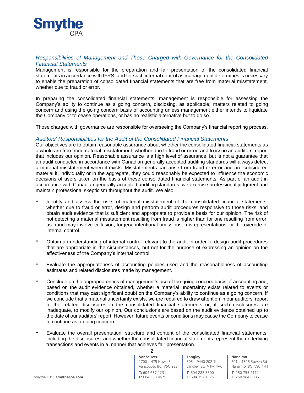

# *Responsibilities of Management and Those Charged with Governance for the Consolidated Financial Statements*

Management is responsible for the preparation and fair presentation of the consolidated financial statements in accordance with IFRS, and for such internal control as management determines is necessary to enable the preparation of consolidated financial statements that are free from material misstatement, whether due to fraud or error.

In preparing the consolidated financial statements, management is responsible for assessing the Company's ability to continue as a going concern, disclosing, as applicable, matters related to going concern and using the going concern basis of accounting unless management either intends to liquidate the Company or to cease operations, or has no realistic alternative but to do so.

Those charged with governance are responsible for overseeing the Company's financial reporting process.

# *Auditors' Responsibilities for the Audit of the Consolidated Financial Statements*

Our objectives are to obtain reasonable assurance about whether the consolidated financial statements as a whole are free from material misstatement, whether due to fraud or error, and to issue an auditors' report that includes our opinion. Reasonable assurance is a high level of assurance, but is not a guarantee that an audit conducted in accordance with Canadian generally accepted auditing standards will always detect a material misstatement when it exists. Misstatements can arise from fraud or error and are considered material if, individually or in the aggregate, they could reasonably be expected to influence the economic decisions of users taken on the basis of these consolidated financial statements. As part of an audit in accordance with Canadian generally accepted auditing standards, we exercise professional judgment and maintain professional skepticism throughout the audit. We also:

- Identify and assess the risks of material misstatement of the consolidated financial statements, whether due to fraud or error, design and perform audit procedures responsive to those risks, and obtain audit evidence that is sufficient and appropriate to provide a basis for our opinion. The risk of not detecting a material misstatement resulting from fraud is higher than for one resulting from error, as fraud may involve collusion, forgery, intentional omissions, misrepresentations, or the override of internal control.
- Obtain an understanding of internal control relevant to the audit in order to design audit procedures that are appropriate in the circumstances, but not for the purpose of expressing an opinion on the effectiveness of the Company's internal control.
- Evaluate the appropriateness of accounting policies used and the reasonableness of accounting estimates and related disclosures made by management.
- Conclude on the appropriateness of management's use of the going concern basis of accounting and, based on the audit evidence obtained, whether a material uncertainty exists related to events or conditions that may cast significant doubt on the Company's ability to continue as a going concern. If we conclude that a material uncertainty exists, we are required to draw attention in our auditors' report to the related disclosures in the consolidated financial statements or, if such disclosures are inadequate, to modify our opinion. Our conclusions are based on the audit evidence obtained up to the date of our auditors' report. However, future events or conditions may cause the Company to cease to continue as a going concern.
- Evaluate the overall presentation, structure and content of the consolidated financial statements, including the disclosures, and whether the consolidated financial statements represent the underlying transactions and events in a manner that achieves fair presentation.

**Vancouver** 1700 – 475 Howe St Vancouver, BC V6C 2B3

**T:** 604 282 3600 **F:** 604 357 1376 305 – 9440 202 St Langley, BC V1M 4A6

**Langley**

**Nanaimo** 201 – 1825 Bowen Rd

Nanaimo, BC V9S 1H1 **T:** 250 755 2111 **F:** 250 984 0886

Smythe LLP | **smythecpa.com F:** 604 688 4675

2

**T:** 604 687 1231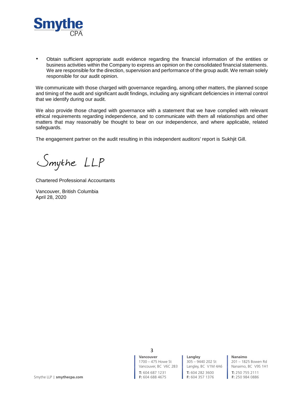

 Obtain sufficient appropriate audit evidence regarding the financial information of the entities or business activities within the Company to express an opinion on the consolidated financial statements. We are responsible for the direction, supervision and performance of the group audit. We remain solely responsible for our audit opinion.

We communicate with those charged with governance regarding, among other matters, the planned scope and timing of the audit and significant audit findings, including any significant deficiencies in internal control that we identify during our audit.

We also provide those charged with governance with a statement that we have complied with relevant ethical requirements regarding independence, and to communicate with them all relationships and other matters that may reasonably be thought to bear on our independence, and where applicable, related safeguards.

The engagement partner on the audit resulting in this independent auditors' report is Sukhjit Gill.

Smythe LLP

Chartered Professional Accountants

Vancouver, British Columbia April 28, 2020

> **Vancouver** 1700 – 475 Howe St 3

> **T:** 604 687 1231

Vancouver, BC V6C 2B3 | Langley, BC V1M 4A6 | Nanaimo, BC V9S 1H1 **T:** 604 282 3600 **F:** 604 357 1376 **Langley** 305 – 9440 202 St

**Nanaimo**

**T:** 250 755 2111 **F:** 250 984 0886

201 – 1825 Bowen Rd

Smythe LLP | **smythecpa.com F:** 604 688 4675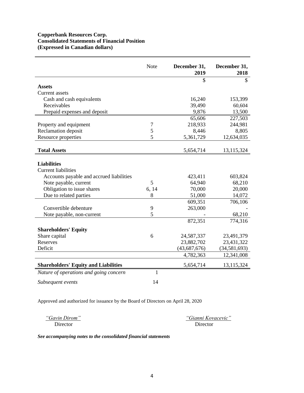# **Copperbank Resources Corp. Consolidated Statements of Financial Position (Expressed in Canadian dollars)**

|                                                  | Note           | December 31,<br>2019 | December 31,<br>2018 |
|--------------------------------------------------|----------------|----------------------|----------------------|
|                                                  |                | \$                   | \$                   |
| <b>Assets</b>                                    |                |                      |                      |
| Current assets                                   |                |                      |                      |
| Cash and cash equivalents                        |                | 16,240               | 153,399              |
| Receivables                                      |                | 39,490               | 60,604               |
| Prepaid expenses and deposit                     |                | 9,876                | 13,500               |
|                                                  |                | 65,606               | 227,503              |
| Property and equipment                           | $\overline{7}$ | 218,933              | 244,981              |
| Reclamation deposit                              | 5              | 8,446                | 8,805                |
| Resource properties                              | 5              | 5,361,729            | 12,634,035           |
| <b>Total Assets</b>                              |                | 5,654,714            | 13,115,324           |
|                                                  |                |                      |                      |
| <b>Liabilities</b><br><b>Current liabilities</b> |                |                      |                      |
| Accounts payable and accrued liabilities         |                | 423,411              | 603,824              |
| Note payable, current                            | 5              | 64,940               | 68,210               |
| Obligation to issue shares                       | 6, 14          | 70,000               | 20,000               |
| Due to related parties                           | 8              | 51,000               | 14,072               |
|                                                  |                | 609,351              | 706,106              |
| Convertible debenture                            | 9              | 263,000              |                      |
| Note payable, non-current                        | 5              |                      | 68,210               |
|                                                  |                | 872,351              | 774,316              |
| <b>Shareholders' Equity</b>                      |                |                      |                      |
| Share capital                                    | 6              | 24,587,337           | 23,491,379           |
| Reserves                                         |                | 23,882,702           | 23,431,322           |
| Deficit                                          |                | (43, 687, 676)       | (34, 581, 693)       |
|                                                  |                | 4,782,363            | 12,341,008           |
| <b>Shareholders' Equity and Liabilities</b>      |                | 5,654,714            | 13,115,324           |
| Nature of operations and going concern           | 1              |                      |                      |
| Subsequent events                                | 14             |                      |                      |

Approved and authorized for issuance by the Board of Directors on April 28, 2020

*"Gavin Dirom" "Gianni Kovacevic"*  Director Director

*See accompanying notes to the consolidated financial statements*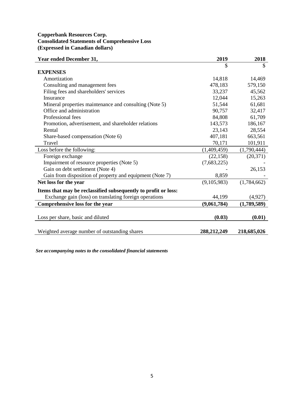# **Copperbank Resources Corp. Consolidated Statements of Comprehensive Loss (Expressed in Canadian dollars)**

| Year ended December 31,                                        | 2019        | 2018        |
|----------------------------------------------------------------|-------------|-------------|
|                                                                | \$          | \$          |
| <b>EXPENSES</b>                                                |             |             |
| Amortization                                                   | 14,818      | 14,469      |
| Consulting and management fees                                 | 478,183     | 579,150     |
| Filing fees and shareholders' services                         | 33,237      | 45,562      |
| Insurance                                                      | 12,044      | 15,263      |
| Mineral properties maintenance and consulting (Note 5)         | 51,544      | 61,681      |
| Office and administration                                      | 90,757      | 32,417      |
| Professional fees                                              | 84,808      | 61,709      |
| Promotion, advertisement, and shareholder relations            | 143,573     | 186,167     |
| Rental                                                         | 23,143      | 28,554      |
| Share-based compensation (Note 6)                              | 407,181     | 663,561     |
| Travel                                                         | 70,171      | 101,911     |
| Loss before the following:                                     | (1,409,459) | (1,790,444) |
| Foreign exchange                                               | (22, 158)   | (20, 371)   |
| Impairment of resource properties (Note 5)                     | (7,683,225) |             |
| Gain on debt settlement (Note 4)                               |             | 26,153      |
| Gain from disposition of property and equipment (Note 7)       | 8,859       |             |
| Net loss for the year                                          | (9,105,983) | (1,784,662) |
| Items that may be reclassified subsequently to profit or loss: |             |             |
| Exchange gain (loss) on translating foreign operations         | 44,199      | (4,927)     |
| Comprehensive loss for the year                                | (9,061,784) | (1,789,589) |
|                                                                |             |             |
| Loss per share, basic and diluted                              | (0.03)      | (0.01)      |
|                                                                |             |             |
| Weighted average number of outstanding shares                  | 288,212,249 | 218,685,026 |

*See accompanying notes to the consolidated financial statements*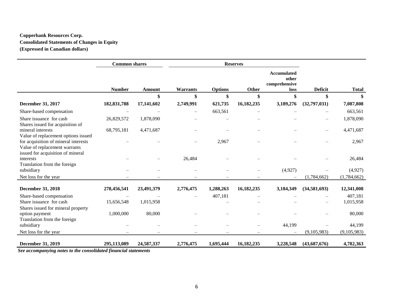# **Copperbank Resources Corp. Consolidated Statements of Changes in Equity (Expressed in Canadian dollars)**

|                                                                                                            | <b>Common shares</b> |               |                          |                | <b>Reserves</b> |                                                      |                          |              |
|------------------------------------------------------------------------------------------------------------|----------------------|---------------|--------------------------|----------------|-----------------|------------------------------------------------------|--------------------------|--------------|
|                                                                                                            | <b>Number</b>        | <b>Amount</b> | <b>Warrants</b>          | <b>Options</b> | Other           | <b>Accumulated</b><br>other<br>comprehensive<br>loss | <b>Deficit</b>           | <b>Total</b> |
|                                                                                                            |                      | \$            | \$                       | \$             | \$              | \$                                                   | \$                       | \$           |
| December 31, 2017                                                                                          | 182,831,788          | 17,141,602    | 2,749,991                | 621,735        | 16,182,235      | 3,189,276                                            | (32,797,031)             | 7,087,808    |
| Share-based compensation                                                                                   |                      |               | $\overline{\phantom{0}}$ | 663,561        |                 |                                                      |                          | 663,561      |
| Share issuance for cash<br>Shares issued for acquisition of                                                | 26,829,572           | 1,878,090     |                          |                |                 |                                                      | $\qquad \qquad -$        | 1,878,090    |
| mineral interests<br>Value of replacement options issued                                                   | 68,795,181           | 4,471,687     |                          |                |                 |                                                      | $\overline{\phantom{0}}$ | 4,471,687    |
| for acquisition of mineral interests<br>Value of replacement warrants<br>issued for acquisition of mineral |                      |               |                          | 2,967          |                 |                                                      |                          | 2,967        |
| interests<br>Translation from the foreign                                                                  |                      |               | 26,484                   |                |                 |                                                      |                          | 26,484       |
| subsidiary                                                                                                 |                      |               |                          |                |                 | (4,927)                                              |                          | (4,927)      |
| Net loss for the year                                                                                      |                      |               |                          |                |                 |                                                      | (1,784,662)              | (1,784,662)  |
| December 31, 2018                                                                                          | 278,456,541          | 23,491,379    | 2,776,475                | 1,288,263      | 16,182,235      | 3,184,349                                            | (34,581,693)             | 12,341,008   |
| Share-based compensation                                                                                   |                      |               |                          | 407,181        |                 |                                                      |                          | 407,181      |
| Share issuance for cash                                                                                    | 15,656,548           | 1,015,958     |                          |                |                 |                                                      |                          | 1,015,958    |
| Shares issued for mineral property<br>option payment<br>Translation from the foreign                       | 1,000,000            | 80,000        |                          |                |                 |                                                      |                          | 80,000       |
| subsidiary                                                                                                 |                      |               |                          |                |                 | 44,199                                               |                          | 44,199       |
| Net loss for the year                                                                                      |                      |               |                          |                |                 |                                                      | (9,105,983)              | (9,105,983)  |
| <b>December 31, 2019</b><br>See accompanying notes to the consolidated financial statements                | 295,113,089          | 24,587,337    | 2,776,475                | 1,695,444      | 16,182,235      | 3,228,548                                            | (43,687,676)             | 4,782,363    |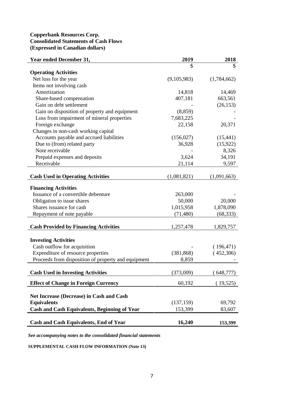# **Copperbank Resources Corp. Consolidated Statements of Cash Flows (Expressed in Canadian dollars)**

| <b>Year ended December 31,</b>                      | 2019        | 2018        |
|-----------------------------------------------------|-------------|-------------|
|                                                     | \$          |             |
| <b>Operating Activities</b>                         |             |             |
| Net loss for the year                               | (9,105,983) | (1,784,662) |
| Items not involving cash                            |             |             |
| Amortization                                        | 14,818      | 14,469      |
| Share-based compensation                            | 407,181     | 663,561     |
| Gain on debt settlement                             |             | (26, 153)   |
| Gain on disposition of property and equipment       | (8, 859)    |             |
| Loss from impairment of mineral properties          | 7,683,225   |             |
| Foreign exchange                                    | 22,158      | 20,371      |
| Changes in non-cash working capital                 |             |             |
| Accounts payable and accrued liabilities            | (156, 027)  | (15, 441)   |
| Due to (from) related party                         | 36,928      | (15, 922)   |
| Note receivable                                     |             | 8,326       |
| Prepaid expenses and deposits                       | 3,624       | 34,191      |
| Receivable                                          | 21,114      | 9,597       |
|                                                     |             |             |
| <b>Cash Used in Operating Activities</b>            | (1,081,821) | (1,091,663) |
| <b>Financing Activities</b>                         |             |             |
| Issuance of a convertible debenture                 | 263,000     |             |
| Obligation to issue shares                          | 50,000      | 20,000      |
| Shares issuance for cash                            | 1,015,958   | 1,878,090   |
| Repayment of note payable                           | (71, 480)   | (68, 333)   |
|                                                     |             |             |
| <b>Cash Provided by Financing Activities</b>        | 1,257,478   | 1,829,757   |
|                                                     |             |             |
| <b>Investing Activities</b>                         |             |             |
| Cash outflow for acquisition                        |             | (196, 471)  |
| Expenditure of resource properties                  | (381, 868)  | (452,306)   |
| Proceeds from disposition of property and equipment | 8,859       |             |
|                                                     |             |             |
| <b>Cash Used in Investing Activities</b>            | (373,009)   | (648,777)   |
| <b>Effect of Change in Foreign Currency</b>         | 60,192      | (19,525)    |
|                                                     |             |             |
| Net Increase (Decrease) in Cash and Cash            |             |             |
| <b>Equivalents</b>                                  | (137, 159)  | 69,792      |
| <b>Cash and Cash Equivalents, Beginning of Year</b> | 153,399     | 83,607      |
| <b>Cash and Cash Equivalents, End of Year</b>       | 16,240      | 153,399     |
|                                                     |             |             |

*See accompanying notes to the consolidated financial statements*

**SUPPLEMENTAL CASH FLOW INFORMATION (Note 13)**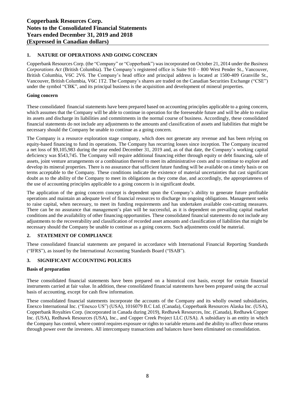# **1. NATURE OF OPERATIONS AND GOING CONCERN**

Copperbank Resources Corp. (the "Company" or "Copperbank") was incorporated on October 21, 2014 under the *Business Corporations Act* (British Columbia). The Company's registered office is Suite 910 – 800 West Pender St., Vancouver, British Columbia, V6C 2V6. The Company's head office and principal address is located at 1500-409 Granville St., Vancouver, British Columbia, V6C 1T2. The Company's shares are traded on the Canadian Securities Exchange ("CSE") under the symbol "CBK", and its principal business is the acquisition and development of mineral properties.

# **Going concern**

These consolidated financial statements have been prepared based on accounting principles applicable to a going concern, which assumes that the Company will be able to continue in operation for the foreseeable future and will be able to realize its assets and discharge its liabilities and commitments in the normal course of business. Accordingly, these consolidated financial statements do not include any adjustments to the amounts and classification of assets and liabilities that might be necessary should the Company be unable to continue as a going concern.

The Company is a resource exploration stage company, which does not generate any revenue and has been relying on equity-based financing to fund its operations. The Company has recurring losses since inception. The Company incurred a net loss of \$9,105,983 during the year ended December 31, 2019 and, as of that date, the Company's working capital deficiency was \$543,745. The Company will require additional financing either through equity or debt financing, sale of assets, joint venture arrangements or a combination thereof to meet its administrative costs and to continue to explore and develop its mineral properties. There is no assurance that sufficient future funding will be available on a timely basis or on terms acceptable to the Company. These conditions indicate the existence of material uncertainties that cast significant doubt as to the ability of the Company to meet its obligations as they come due, and accordingly, the appropriateness of the use of accounting principles applicable to a going concern is in significant doubt.

The application of the going concern concept is dependent upon the Company's ability to generate future profitable operations and maintain an adequate level of financial resources to discharge its ongoing obligations. Management seeks to raise capital, when necessary, to meet its funding requirements and has undertaken available cost-cutting measures. There can be no assurance that management's plan will be successful, as it is dependent on prevailing capital market conditions and the availability of other financing opportunities. These consolidated financial statements do not include any adjustments to the recoverability and classification of recorded asset amounts and classification of liabilities that might be necessary should the Company be unable to continue as a going concern. Such adjustments could be material.

# **2. STATEMENT OF COMPLIANCE**

These consolidated financial statements are prepared in accordance with International Financial Reporting Standards ("IFRS"), as issued by the International Accounting Standards Board ("ISAB").

# **3. SIGNIFICANT ACCOUNTING POLICIES**

# **Basis of preparation**

These consolidated financial statements have been prepared on a historical cost basis, except for certain financial instruments carried at fair value. In addition, these consolidated financial statements have been prepared using the accrual basis of accounting, except for cash flow information.

These consolidated financial statements incorporate the accounts of the Company and its wholly owned subsidiaries, Enexco International Inc. ("Enexco US") (USA), 1016079 B.C Ltd. (Canada), Copperbank Resources Alaska Inc. (USA), Copperbank Royalties Corp. (incorporated in Canada during 2019), Redhawk Resources, Inc. (Canada), Redhawk Copper Inc. (USA), Redhawk Resources (USA), Inc., and Copper Creek Project LLC (USA). A subsidiary is an entity in which the Company has control, where control requires exposure or rights to variable returns and the ability to affect those returns through power over the investees. All intercompany transactions and balances have been eliminated on consolidation.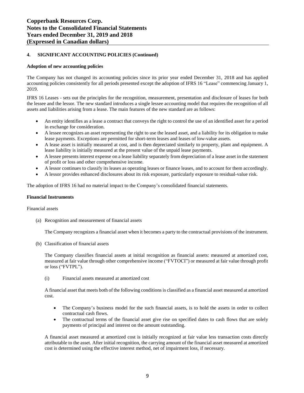#### **Adoption of new accounting policies**

The Company has not changed its accounting policies since its prior year ended December 31, 2018 and has applied accounting policies consistently for all periods presented except the adoption of IFRS 16 "Lease" commencing January 1, 2019.

IFRS 16 Leases - sets out the principles for the recognition, measurement, presentation and disclosure of leases for both the lessee and the lessor. The new standard introduces a single lessee accounting model that requires the recognition of all assets and liabilities arising from a lease. The main features of the new standard are as follows:

- An entity identifies as a lease a contract that conveys the right to control the use of an identified asset for a period in exchange for consideration.
- A lessee recognizes an asset representing the right to use the leased asset, and a liability for its obligation to make lease payments. Exceptions are permitted for short-term leases and leases of low-value assets.
- A lease asset is initially measured at cost, and is then depreciated similarly to property, plant and equipment. A lease liability is initially measured at the present value of the unpaid lease payments.
- A lessee presents interest expense on a lease liability separately from depreciation of a lease asset in the statement of profit or loss and other comprehensive income.
- A lessor continues to classify its leases as operating leases or finance leases, and to account for them accordingly.
- A lessor provides enhanced disclosures about its risk exposure, particularly exposure to residual-value risk.

The adoption of IFRS 16 had no material impact to the Company's consolidated financial statements.

#### **Financial Instruments**

Financial assets

(a) Recognition and measurement of financial assets

The Company recognizes a financial asset when it becomes a party to the contractual provisions of the instrument.

(b) Classification of financial assets

The Company classifies financial assets at initial recognition as financial assets: measured at amortized cost, measured at fair value through other comprehensive income ("FVTOCI") or measured at fair value through profit or loss ("FVTPL").

(i) Financial assets measured at amortized cost

A financial asset that meets both of the following conditions is classified as a financial asset measured at amortized cost.

- The Company's business model for the such financial assets, is to hold the assets in order to collect contractual cash flows.
- The contractual terms of the financial asset give rise on specified dates to cash flows that are solely payments of principal and interest on the amount outstanding.

A financial asset measured at amortized cost is initially recognized at fair value less transaction costs directly attributable to the asset. After initial recognition, the carrying amount of the financial asset measured at amortized cost is determined using the effective interest method, net of impairment loss, if necessary.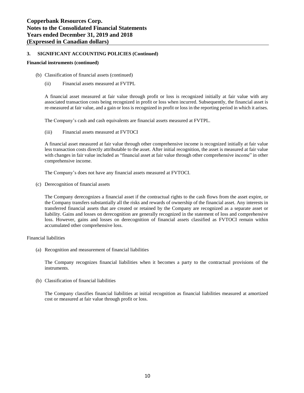#### **Financial instruments (continued)**

- (b) Classification of financial assets (continued)
	- (ii) Financial assets measured at FVTPL

A financial asset measured at fair value through profit or loss is recognized initially at fair value with any associated transaction costs being recognized in profit or loss when incurred. Subsequently, the financial asset is re-measured at fair value, and a gain or loss is recognized in profit or loss in the reporting period in which it arises.

The Company's cash and cash equivalents are financial assets measured at FVTPL.

(iii) Financial assets measured at FVTOCI

A financial asset measured at fair value through other comprehensive income is recognized initially at fair value less transaction costs directly attributable to the asset. After initial recognition, the asset is measured at fair value with changes in fair value included as "financial asset at fair value through other comprehensive income" in other comprehensive income.

The Company's does not have any financial assets measured at FVTOCI.

(c) Derecognition of financial assets

The Company derecognizes a financial asset if the contractual rights to the cash flows from the asset expire, or the Company transfers substantially all the risks and rewards of ownership of the financial asset. Any interests in transferred financial assets that are created or retained by the Company are recognized as a separate asset or liability. Gains and losses on derecognition are generally recognized in the statement of loss and comprehensive loss. However, gains and losses on derecognition of financial assets classified as FVTOCI remain within accumulated other comprehensive loss.

#### Financial liabilities

(a) Recognition and measurement of financial liabilities

The Company recognizes financial liabilities when it becomes a party to the contractual provisions of the instruments.

(b) Classification of financial liabilities

The Company classifies financial liabilities at initial recognition as financial liabilities measured at amortized cost or measured at fair value through profit or loss.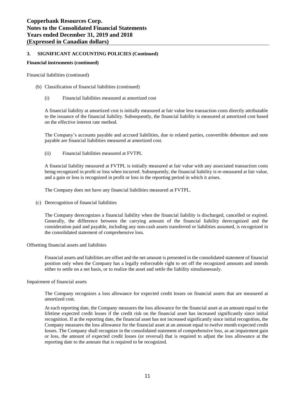#### **Financial instruments (continued)**

Financial liabilities (continued)

- (b) Classification of financial liabilities (continued)
	- (i) Financial liabilities measured at amortized cost

A financial liability at amortized cost is initially measured at fair value less transaction costs directly attributable to the issuance of the financial liability. Subsequently, the financial liability is measured at amortized cost based on the effective interest rate method.

The Company's accounts payable and accrued liabilities, due to related parties, convertible debenture and note payable are financial liabilities measured at amortized cost.

(ii) Financial liabilities measured at FVTPL

A financial liability measured at FVTPL is initially measured at fair value with any associated transaction costs being recognized in profit or loss when incurred. Subsequently, the financial liability is re-measured at fair value, and a gain or loss is recognized in profit or loss in the reporting period in which it arises.

The Company does not have any financial liabilities measured at FVTPL.

(c) Derecognition of financial liabilities

The Company derecognizes a financial liability when the financial liability is discharged, cancelled or expired. Generally, the difference between the carrying amount of the financial liability derecognized and the consideration paid and payable, including any non-cash assets transferred or liabilities assumed, is recognized in the consolidated statement of comprehensive loss.

#### Offsetting financial assets and liabilities

Financial assets and liabilities are offset and the net amount is presented in the consolidated statement of financial position only when the Company has a legally enforceable right to set off the recognized amounts and intends either to settle on a net basis, or to realize the asset and settle the liability simultaneously.

#### Impairment of financial assets

The Company recognizes a loss allowance for expected credit losses on financial assets that are measured at amortized cost.

At each reporting date, the Company measures the loss allowance for the financial asset at an amount equal to the lifetime expected credit losses if the credit risk on the financial asset has increased significantly since initial recognition. If at the reporting date, the financial asset has not increased significantly since initial recognition, the Company measures the loss allowance for the financial asset at an amount equal to twelve month expected credit losses. The Company shall recognize in the consolidated statement of comprehensive loss, as an impairment gain or loss, the amount of expected credit losses (or reversal) that is required to adjust the loss allowance at the reporting date to the amount that is required to be recognized.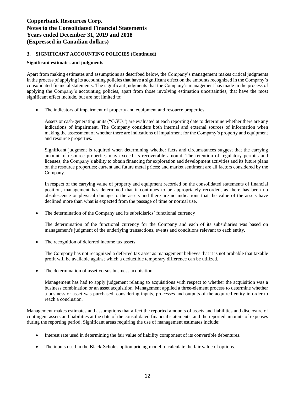#### **Significant estimates and judgments**

Apart from making estimates and assumptions as described below, the Company's management makes critical judgments in the process of applying its accounting policies that have a significant effect on the amounts recognized in the Company's consolidated financial statements. The significant judgments that the Company's management has made in the process of applying the Company's accounting policies, apart from those involving estimation uncertainties, that have the most significant effect include, but are not limited to:

• The indicators of impairment of property and equipment and resource properties

Assets or cash-generating units ("CGUs") are evaluated at each reporting date to determine whether there are any indications of impairment. The Company considers both internal and external sources of information when making the assessment of whether there are indications of impairment for the Company's property and equipment and resource properties.

Significant judgment is required when determining whether facts and circumstances suggest that the carrying amount of resource properties may exceed its recoverable amount. The retention of regulatory permits and licenses; the Company's ability to obtain financing for exploration and development activities and its future plans on the resource properties; current and future metal prices; and market sentiment are all factors considered by the Company.

In respect of the carrying value of property and equipment recorded on the consolidated statements of financial position, management has determined that it continues to be appropriately recorded, as there has been no obsolescence or physical damage to the assets and there are no indications that the value of the assets have declined more than what is expected from the passage of time or normal use.

The determination of the Company and its subsidiaries' functional currency

The determination of the functional currency for the Company and each of its subsidiaries was based on management's judgment of the underlying transactions, events and conditions relevant to each entity.

The recognition of deferred income tax assets

The Company has not recognized a deferred tax asset as management believes that it is not probable that taxable profit will be available against which a deductible temporary difference can be utilized.

The determination of asset versus business acquisition

Management has had to apply judgement relating to acquisitions with respect to whether the acquisition was a business combination or an asset acquisition. Management applied a three-element process to determine whether a business or asset was purchased, considering inputs, processes and outputs of the acquired entity in order to reach a conclusion.

Management makes estimates and assumptions that affect the reported amounts of assets and liabilities and disclosure of contingent assets and liabilities at the date of the consolidated financial statements, and the reported amounts of expenses during the reporting period. Significant areas requiring the use of management estimates include:

- Interest rate used in determining the fair value of liability component of its convertible debentures.
- The inputs used in the Black-Scholes option pricing model to calculate the fair value of options.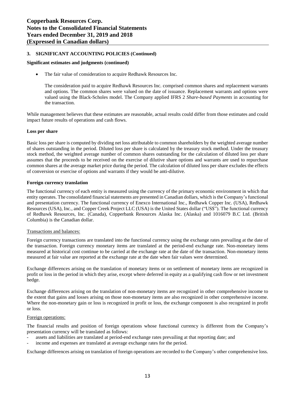#### **Significant estimates and judgments (continued)**

• The fair value of consideration to acquire Redhawk Resources Inc.

The consideration paid to acquire Redhawk Resources Inc. comprised common shares and replacement warrants and options. The common shares were valued on the date of issuance. Replacement warrants and options were valued using the Black-Scholes model. The Company applied IFRS 2 *Share-based Payments* in accounting for the transaction.

While management believes that these estimates are reasonable, actual results could differ from those estimates and could impact future results of operations and cash flows.

#### **Loss per share**

Basic loss per share is computed by dividing net loss attributable to common shareholders by the weighted average number of shares outstanding in the period. Diluted loss per share is calculated by the treasury stock method. Under the treasury stock method, the weighted average number of common shares outstanding for the calculation of diluted loss per share assumes that the proceeds to be received on the exercise of dilutive share options and warrants are used to repurchase common shares at the average market price during the period. The calculation of diluted loss per share excludes the effects of conversion or exercise of options and warrants if they would be anti-dilutive.

#### **Foreign currency translation**

The functional currency of each entity is measured using the currency of the primary economic environment in which that entity operates. The consolidated financial statements are presented in Canadian dollars, which isthe Company'sfunctional and presentation currency. The functional currency of Enexco International Inc., Redhawk Copper Inc. (USA), Redhawk Resources (USA), Inc., and Copper Creek Project LLC (USA) is the United States dollar ("US\$"). The functional currency of Redhawk Resources, Inc. (Canada), Copperbank Resources Alaska Inc. (Alaska) and 1016079 B.C Ltd. (British Columbia) is the Canadian dollar.

#### Transactions and balances:

Foreign currency transactions are translated into the functional currency using the exchange rates prevailing at the date of the transaction. Foreign currency monetary items are translated at the period-end exchange rate. Non-monetary items measured at historical cost continue to be carried at the exchange rate at the date of the transaction. Non-monetary items measured at fair value are reported at the exchange rate at the date when fair values were determined.

Exchange differences arising on the translation of monetary items or on settlement of monetary items are recognized in profit or loss in the period in which they arise, except where deferred in equity as a qualifying cash flow or net investment hedge.

Exchange differences arising on the translation of non-monetary items are recognized in other comprehensive income to the extent that gains and losses arising on those non-monetary items are also recognized in other comprehensive income. Where the non-monetary gain or loss is recognized in profit or loss, the exchange component is also recognized in profit or loss.

#### Foreign operations:

The financial results and position of foreign operations whose functional currency is different from the Company's presentation currency will be translated as follows:

- assets and liabilities are translated at period-end exchange rates prevailing at that reporting date; and
- income and expenses are translated at average exchange rates for the period.

Exchange differences arising on translation of foreign operations are recorded to the Company's other comprehensive loss.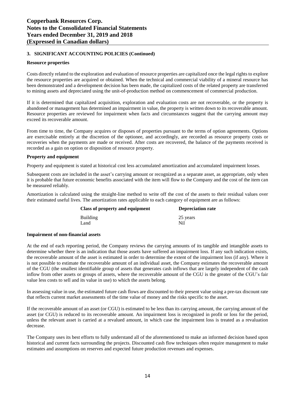#### **Resource properties**

Costs directly related to the exploration and evaluation of resource properties are capitalized once the legal rights to explore the resource properties are acquired or obtained. When the technical and commercial viability of a mineral resource has been demonstrated and a development decision has been made, the capitalized costs of the related property are transferred to mining assets and depreciated using the unit-of-production method on commencement of commercial production.

If it is determined that capitalized acquisition, exploration and evaluation costs are not recoverable, or the property is abandoned or management has determined an impairment in value, the property is written down to its recoverable amount. Resource properties are reviewed for impairment when facts and circumstances suggest that the carrying amount may exceed its recoverable amount.

From time to time, the Company acquires or disposes of properties pursuant to the terms of option agreements. Options are exercisable entirely at the discretion of the optionee, and accordingly, are recorded as resource property costs or recoveries when the payments are made or received. After costs are recovered, the balance of the payments received is recorded as a gain on option or disposition of resource property.

#### **Property and equipment**

Property and equipment is stated at historical cost less accumulated amortization and accumulated impairment losses.

Subsequent costs are included in the asset's carrying amount or recognized as a separate asset, as appropriate, only when it is probable that future economic benefits associated with the item will flow to the Company and the cost of the item can be measured reliably.

Amortization is calculated using the straight-line method to write off the cost of the assets to their residual values over their estimated useful lives. The amortization rates applicable to each category of equipment are as follows:

| Class of property and equipment | <b>Depreciation rate</b> |  |  |
|---------------------------------|--------------------------|--|--|
| Building                        | 25 years                 |  |  |
| Land                            | Nil                      |  |  |

#### **Impairment of non-financial assets**

At the end of each reporting period, the Company reviews the carrying amounts of its tangible and intangible assets to determine whether there is an indication that those assets have suffered an impairment loss. If any such indication exists, the recoverable amount of the asset is estimated in order to determine the extent of the impairment loss (if any). Where it is not possible to estimate the recoverable amount of an individual asset, the Company estimates the recoverable amount of the CGU (the smallest identifiable group of assets that generates cash inflows that are largely independent of the cash inflow from other assets or groups of assets, where the recoverable amount of the CGU is the greater of the CGU's fair value less costs to sell and its value in use) to which the assets belong.

In assessing value in use, the estimated future cash flows are discounted to their present value using a pre-tax discount rate that reflects current market assessments of the time value of money and the risks specific to the asset.

If the recoverable amount of an asset (or CGU) is estimated to be less than its carrying amount, the carrying amount of the asset (or CGU) is reduced to its recoverable amount. An impairment loss is recognized in profit or loss for the period, unless the relevant asset is carried at a revalued amount, in which case the impairment loss is treated as a revaluation decrease.

The Company uses its best efforts to fully understand all of the aforementioned to make an informed decision based upon historical and current facts surrounding the projects. Discounted cash flow techniques often require management to make estimates and assumptions on reserves and expected future production revenues and expenses.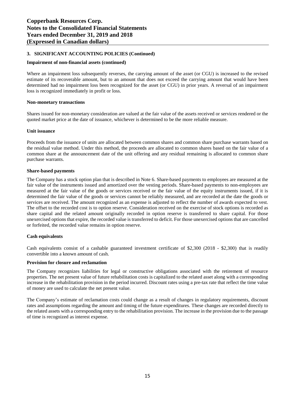#### **Impairment of non-financial assets (continued)**

Where an impairment loss subsequently reverses, the carrying amount of the asset (or CGU) is increased to the revised estimate of its recoverable amount, but to an amount that does not exceed the carrying amount that would have been determined had no impairment loss been recognized for the asset (or CGU) in prior years. A reversal of an impairment loss is recognized immediately in profit or loss.

#### **Non-monetary transactions**

Shares issued for non-monetary consideration are valued at the fair value of the assets received or services rendered or the quoted market price at the date of issuance, whichever is determined to be the more reliable measure.

#### **Unit issuance**

Proceeds from the issuance of units are allocated between common shares and common share purchase warrants based on the residual value method. Under this method, the proceeds are allocated to common shares based on the fair value of a common share at the announcement date of the unit offering and any residual remaining is allocated to common share purchase warrants.

#### **Share-based payments**

The Company has a stock option plan that is described in Note 6. Share-based payments to employees are measured at the fair value of the instruments issued and amortized over the vesting periods. Share-based payments to non-employees are measured at the fair value of the goods or services received or the fair value of the equity instruments issued, if it is determined the fair value of the goods or services cannot be reliably measured, and are recorded at the date the goods or services are received. The amount recognized as an expense is adjusted to reflect the number of awards expected to vest. The offset to the recorded cost is to option reserve. Consideration received on the exercise of stock options is recorded as share capital and the related amount originally recorded in option reserve is transferred to share capital. For those unexercised options that expire, the recorded value is transferred to deficit. For those unexercised options that are cancelled or forfeited, the recorded value remains in option reserve.

# **Cash equivalents**

Cash equivalents consist of a cashable guaranteed investment certificate of \$2,300 (2018 - \$2,300) that is readily convertible into a known amount of cash.

#### **Provision for closure and reclamation**

The Company recognizes liabilities for legal or constructive obligations associated with the retirement of resource properties. The net present value of future rehabilitation costs is capitalized to the related asset along with a corresponding increase in the rehabilitation provision in the period incurred. Discount rates using a pre-tax rate that reflect the time value of money are used to calculate the net present value.

The Company's estimate of reclamation costs could change as a result of changes in regulatory requirements, discount rates and assumptions regarding the amount and timing of the future expenditures. These changes are recorded directly to the related assets with a corresponding entry to the rehabilitation provision. The increase in the provision due to the passage of time is recognized as interest expense.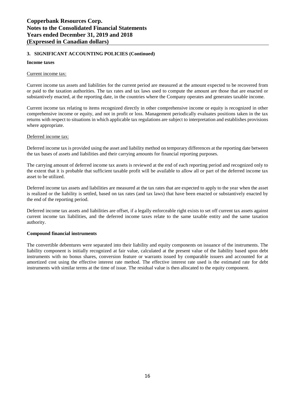#### **Income taxes**

#### Current income tax:

Current income tax assets and liabilities for the current period are measured at the amount expected to be recovered from or paid to the taxation authorities. The tax rates and tax laws used to compute the amount are those that are enacted or substantively enacted, at the reporting date, in the countries where the Company operates and generates taxable income.

Current income tax relating to items recognized directly in other comprehensive income or equity is recognized in other comprehensive income or equity, and not in profit or loss. Management periodically evaluates positions taken in the tax returns with respect to situations in which applicable tax regulations are subject to interpretation and establishes provisions where appropriate.

#### Deferred income tax:

Deferred income tax is provided using the asset and liability method on temporary differences at the reporting date between the tax bases of assets and liabilities and their carrying amounts for financial reporting purposes.

The carrying amount of deferred income tax assets is reviewed at the end of each reporting period and recognized only to the extent that it is probable that sufficient taxable profit will be available to allow all or part of the deferred income tax asset to be utilized.

Deferred income tax assets and liabilities are measured at the tax rates that are expected to apply to the year when the asset is realized or the liability is settled, based on tax rates (and tax laws) that have been enacted or substantively enacted by the end of the reporting period.

Deferred income tax assets and liabilities are offset, if a legally enforceable right exists to set off current tax assets against current income tax liabilities, and the deferred income taxes relate to the same taxable entity and the same taxation authority.

# **Compound financial instruments**

The convertible debentures were separated into their liability and equity components on issuance of the instruments. The liability component is initially recognized at fair value, calculated at the present value of the liability based upon debt instruments with no bonus shares, conversion feature or warrants issued by comparable issuers and accounted for at amortized cost using the effective interest rate method. The effective interest rate used is the estimated rate for debt instruments with similar terms at the time of issue. The residual value is then allocated to the equity component.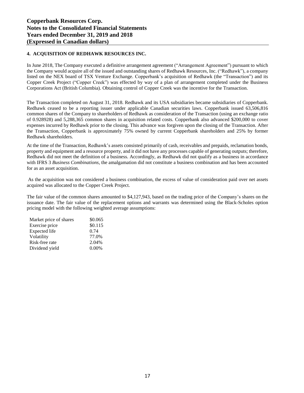# **4. ACQUISITION OF REDHAWK RESOURCES INC.**

In June 2018, The Company executed a definitive arrangement agreement ("Arrangement Agreement") pursuant to which the Company would acquire all of the issued and outstanding shares of Redhawk Resources, Inc. ("Redhawk"), a company listed on the NEX board of TSX Venture Exchange. Copperbank's acquisition of Redhawk (the "Transaction") and its Copper Creek Project ("Copper Creek") was effected by way of a plan of arrangement completed under the Business Corporations Act (British Columbia). Obtaining control of Copper Creek was the incentive for the Transaction.

The Transaction completed on August 31, 2018. Redhawk and its USA subsidiaries became subsidiaries of Copperbank. Redhawk ceased to be a reporting issuer under applicable Canadian securities laws. Copperbank issued 63,506,816 common shares of the Company to shareholders of Redhawk as consideration of the Transaction (using an exchange ratio of 0.928928) and 5,288,365 common shares in acquisition related costs. Copperbank also advanced \$200,000 to cover expenses incurred by Redhawk prior to the closing. This advance was forgiven upon the closing of the Transaction. After the Transaction, Copperbank is approximately 75% owned by current Copperbank shareholders and 25% by former Redhawk shareholders.

At the time of the Transaction, Redhawk's assets consisted primarily of cash, receivables and prepaids, reclamation bonds, property and equipment and a resource property, and it did not have any processes capable of generating outputs; therefore, Redhawk did not meet the definition of a business. Accordingly, as Redhawk did not qualify as a business in accordance with IFRS 3 *Business Combinations*, the amalgamation did not constitute a business combination and has been accounted for as an asset acquisition.

As the acquisition was not considered a business combination, the excess of value of consideration paid over net assets acquired was allocated to the Copper Creek Project.

The fair value of the common shares amounted to \$4,127,943, based on the trading price of the Company's shares on the issuance date. The fair value of the replacement options and warrants was determined using the Black-Scholes option pricing model with the following weighted average assumptions:

| Market price of shares | \$0.065  |
|------------------------|----------|
| Exercise price         | \$0.115  |
| <b>Expected</b> life   | 0.74     |
| Volatility             | 77.0%    |
| Risk-free rate         | 2.04%    |
| Dividend yield         | $0.00\%$ |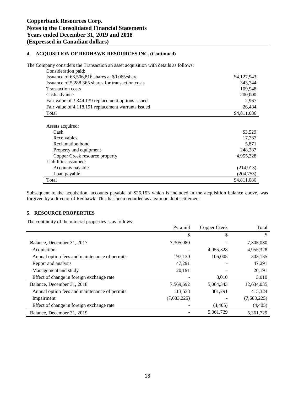# **4. ACQUISITION OF REDHAWK RESOURCES INC. (Continued)**

The Company considers the Transaction an asset acquisition with details as follows:

| Consideration paid:                                 |             |
|-----------------------------------------------------|-------------|
| Issuance of $63,506,816$ shares at \$0.065/share    | \$4,127,943 |
| Issuance of 5,288,365 shares for transaction costs  | 343,744     |
| <b>Transaction costs</b>                            | 109.948     |
| Cash advance                                        | 200,000     |
| Fair value of 3,344,139 replacement options issued  | 2,967       |
| Fair value of 4,118,191 replacement warrants issued | 26,484      |
| Total                                               | \$4,811,086 |
| Cash<br>Receivables                                 | 17,737      |
| Assets acquired:                                    | \$3,529     |
| Reclamation bond                                    | 5,871       |
| Property and equipment                              | 248,287     |
| Copper Creek resource property                      | 4,955,328   |
| Liabilities assumed:                                |             |
| Accounts payable                                    | (214, 913)  |
| Loan payable                                        | (204, 753)  |
| Total                                               | \$4,811,086 |

Subsequent to the acquisition, accounts payable of \$26,153 which is included in the acquisition balance above, was forgiven by a director of Redhawk. This has been recorded as a gain on debt settlement.

# **5. RESOURCE PROPERTIES**

The continuity of the mineral properties is as follows:

|                                               | Pyramid     | Copper Creek | Total       |
|-----------------------------------------------|-------------|--------------|-------------|
|                                               | \$          | \$           | \$          |
| Balance, December 31, 2017                    | 7,305,080   |              | 7,305,080   |
| Acquisition                                   |             | 4,955,328    | 4,955,328   |
| Annual option fees and maintenance of permits | 197,130     | 106,005      | 303,135     |
| Report and analysis                           | 47,291      |              | 47,291      |
| Management and study                          | 20,191      |              | 20,191      |
| Effect of change in foreign exchange rate     |             | 3,010        | 3,010       |
| Balance, December 31, 2018                    | 7,569,692   | 5,064,343    | 12,634,035  |
| Annual option fees and maintenance of permits | 113,533     | 301.791      | 415,324     |
| Impairment                                    | (7,683,225) |              | (7,683,225) |
| Effect of change in foreign exchange rate     |             | (4,405)      | (4,405)     |
| Balance, December 31, 2019                    |             | 5,361,729    | 5,361,729   |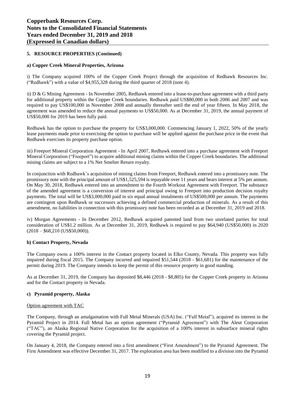# **5. RESOURCE PROPERTIES (Continued)**

#### **a) Copper Creek Mineral Properties, Arizona**

i) The Company acquired 100% of the Copper Creek Project through the acquisition of Redhawk Resources Inc. ("Redhawk") with a value of \$4,955,328 during the third quarter of 2018 (note 4).

ii) D & G Mining Agreement - In November 2005, Redhawk entered into a lease-to-purchase agreement with a third party for additional property within the Copper Creek boundaries. Redhawk paid US\$80,000 in both 2006 and 2007 and was required to pay US\$100,000 in November 2008 and annually thereafter until the end of year fifteen. In May 2018, the agreement was amended to reduce the annual payments to US\$50,000. As at December 31, 2019, the annual payment of US\$50,000 for 2019 has been fully paid.

Redhawk has the option to purchase the property for US\$3,000,000. Commencing January 1, 2022, 50% of the yearly lease payments made prior to exercising the option to purchase will be applied against the purchase price in the event that Redhawk exercises its property purchase option.

iii) Freeport Mineral Corporation Agreement - In April 2007, Redhawk entered into a purchase agreement with Freeport Mineral Corporation ("Freeport") to acquire additional mining claims within the Copper Creek boundaries. The additional mining claims are subject to a 1% Net Smelter Return royalty.

In conjunction with Redhawk's acquisition of mining claims from Freeport, Redhawk entered into a promissory note. The promissory note with the principal amount of US\$1,525,594 is repayable over 11 years and bears interest at 5% per annum. On May 30, 2018, Redhawk entered into an amendment to the Fourth Workout Agreement with Freeport. The substance of the amended agreement is a conversion of interest and principal owing to Freeport into production decision royalty payments. The total will be US\$3,000,000 paid in six equal annual instalments of US\$500,000 per annum. The payments are contingent upon Redhawk or successors achieving a defined commercial production of minerals. As a result of this amendment, no liabilities in connection with this promissory note has been recorded as at December 31, 2019 and 2018.

iv) Morgan Agreements - In December 2012, Redhawk acquired patented land from two unrelated parties for total consideration of US\$1.2 million. As at December 31, 2019, Redhawk is required to pay \$64,940 (US\$50,000) in 2020  $(2018 - $68,210 \text{ (US$50,000)}).$ 

#### **b) Contact Property, Nevada**

The Company owns a 100% interest in the Contact property located in Elko County, Nevada. This property was fully impaired during fiscal 2015. The Company incurred and impaired \$51,544 (2018 - \$61,681) for the maintenance of the permit during 2019. The Company intends to keep the permit of this resource property in good standing.

As at December 31, 2019, the Company has deposited \$8,446 (2018 - \$8,805) for the Copper Creek property in Arizona and for the Contact property in Nevada.

#### **c) Pyramid property, Alaska**

# Option agreement with TAC

The Company, through an amalgamation with Full Metal Minerals (USA) Inc. ("Full Metal"), acquired its interest in the Pyramid Project in 2014. Full Metal has an option agreement ("Pyramid Agreement") with The Aleut Corporation ("TAC"), an Alaska Regional Native Corporation for the acquisition of a 100% interest in subsurface mineral rights covering the Pyramid project.

On January 4, 2018, the Company entered into a first amendment ("First Amendment") to the Pyramid Agreement. The First Amendment was effective December 31, 2017. The exploration area has been modified to a division into the Pyramid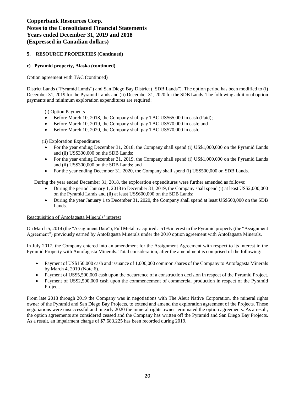# **5. RESOURCE PROPERTIES (Continued)**

# **c) Pyramid property, Alaska (continued)**

#### Option agreement with TAC (continued)

District Lands ("Pyramid Lands") and San Diego Bay District ("SDB Lands"). The option period has been modified to (i) December 31, 2019 for the Pyramid Lands and (ii) December 31, 2020 for the SDB Lands. The following additional option payments and minimum exploration expenditures are required:

(i) Option Payments

- Before March 10, 2018, the Company shall pay TAC US\$65,000 in cash (Paid);
- Before March 10, 2019, the Company shall pay TAC US\$70,000 in cash; and
- Before March 10, 2020, the Company shall pay TAC US\$70,000 in cash.

(ii) Exploration Expenditures

- For the year ending December 31, 2018, the Company shall spend (i) US\$1,000,000 on the Pyramid Lands and (ii) US\$300,000 on the SDB Lands;
- For the year ending December 31, 2019, the Company shall spend (i) US\$1,000,000 on the Pyramid Lands and (ii) US\$300,000 on the SDB Lands; and
- For the year ending December 31, 2020, the Company shall spend (i) US\$500,000 on SDB Lands.

During the year ended December 31, 2018, the exploration expenditures were further amended as follows:

- During the period January 1, 2018 to December 31, 2019, the Company shall spend (i) at least US\$2,000,000 on the Pyramid Lands and (ii) at least US\$600,000 on the SDB Lands;
- During the year January 1 to December 31, 2020, the Company shall spend at least US\$500,000 on the SDB Lands.

# Reacquisition of Antofagasta Minerals' interest

On March 5, 2014 (the "Assignment Date"), Full Metal reacquired a 51% interest in the Pyramid property (the "Assignment Agreement") previously earned by Antofagasta Minerals under the 2010 option agreement with Antofagasta Minerals.

In July 2017, the Company entered into an amendment for the Assignment Agreement with respect to its interest in the Pyramid Property with Antofagasta Minerals. Total consideration, after the amendment is comprised of the following:

- Payment of US\$150,000 cash and issuance of 1,000,000 common shares of the Company to Antofagasta Minerals by March 4, 2019 (Note 6).
- Payment of US\$5,500,000 cash upon the occurrence of a construction decision in respect of the Pyramid Project.
- Payment of US\$2,500,000 cash upon the commencement of commercial production in respect of the Pyramid Project.

From late 2018 through 2019 the Company was in negotiations with The Aleut Native Corporation, the mineral rights owner of the Pyramid and San Diego Bay Projects, to extend and amend the exploration agreement of the Projects. These negotiations were unsuccessful and in early 2020 the mineral rights owner terminated the option agreements. As a result, the option agreements are considered ceased and the Company has written off the Pyramid and San Diego Bay Projects. As a result, an impairment charge of \$7,683,225 has been recorded during 2019.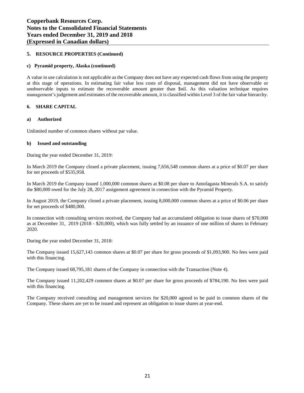# **5. RESOURCE PROPERTIES (Continued)**

# **c) Pyramid property, Alaska (continued)**

A value in use calculation is not applicable as the Company does not have any expected cash flows from using the property at this stage of operations. In estimating fair value less costs of disposal, management did not have observable or unobservable inputs to estimate the recoverable amount greater than \$nil. As this valuation technique requires management's judgement and estimates of the recoverable amount, it is classified within Level 3 of the fair value hierarchy.

# **6. SHARE CAPITAL**

#### **a) Authorized**

Unlimited number of common shares without par value.

#### **b) Issued and outstanding**

During the year ended December 31, 2019:

In March 2019 the Company closed a private placement, issuing 7,656,548 common shares at a price of \$0.07 per share for net proceeds of \$535,958.

In March 2019 the Company issued 1,000,000 common shares at \$0.08 per share to Antofagasta Minerals S.A. to satisfy the \$80,000 owed for the July 28, 2017 assignment agreement in connection with the Pyramid Property.

In August 2019, the Company closed a private placement, issuing 8,000,000 common shares at a price of \$0.06 per share for net proceeds of \$480,000.

In connection with consulting services received, the Company had an accumulated obligation to issue shares of \$70,000 as at December 31, 2019 (2018 - \$20,000), which was fully settled by an issuance of one million of shares in February 2020.

During the year ended December 31, 2018:

The Company issued 15,627,143 common shares at \$0.07 per share for gross proceeds of \$1,093,900. No fees were paid with this financing.

The Company issued 68,795,181 shares of the Company in connection with the Transaction (Note 4).

The Company issued 11,202,429 common shares at \$0.07 per share for gross proceeds of \$784,190. No fees were paid with this financing.

The Company received consulting and management services for \$20,000 agreed to be paid in common shares of the Company. These shares are yet to be issued and represent an obligation to issue shares at year-end.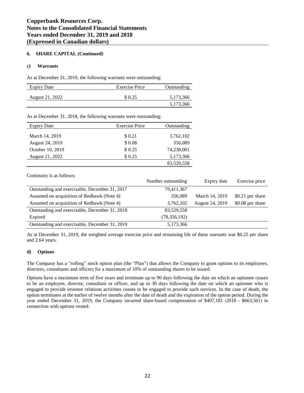# **6. SHARE CAPITAL (Continued)**

# **c) Warrants**

As at December 31, 2019, the following warrants were outstanding:

| <b>Expiry Date</b> | <b>Exercise Price</b> | Outstanding |
|--------------------|-----------------------|-------------|
| August 21, 2022    | \$ 0.25               | 5,173,366   |
|                    |                       | 5,173,366   |

As at December 31, 2018, the following warrants were outstanding:

| <b>Expiry Date</b> | <b>Exercise Price</b> | Outstanding |
|--------------------|-----------------------|-------------|
|                    |                       |             |
| March 14, 2019     | \$ 0.21               | 3,762,102   |
| August 24, 2019    | \$0.08                | 356,089     |
| October 10, 2019   | \$0.25                | 74,238,001  |
| August 21, 2022    | \$0.25                | 5,173,366   |
|                    |                       | 83,529,558  |

Continuity is as follows:

|                                                | Number outstanding | Expiry date     | Exercise price   |
|------------------------------------------------|--------------------|-----------------|------------------|
| Outstanding and exercisable, December 31, 2017 | 79,411,367         |                 |                  |
| Assumed on acquisition of Redhawk (Note 4)     | 356,089            | March 14, 2019  | \$0.21 per share |
| Assumed on acquisition of Redhawk (Note 4)     | 3,762,102          | August 24, 2019 | \$0.08 per share |
| Outstanding and exercisable, December 31, 2018 | 83,529,558         |                 |                  |
| Expired                                        | (78, 356, 192)     |                 |                  |
| Outstanding and exercisable, December 31, 2019 | 5,173,366          |                 |                  |

As at December 31, 2019, the weighted average exercise price and remaining life of these warrants was \$0.25 per share and 2.64 years.

# **d) Options**

The Company has a "rolling" stock option plan (the "Plan") that allows the Company to grant options to its employees, directors, consultants and officers for a maximum of 10% of outstanding shares to be issued.

Options have a maximum term of five years and terminate up to 90 days following the date on which an optionee ceases to be an employee, director, consultant or officer, and up to 30 days following the date on which an optionee who is engaged to provide investor relations activities ceases to be engaged to provide such services. In the case of death, the option terminates at the earlier of twelve months after the date of death and the expiration of the option period. During the year ended December 31, 2019, the Company incurred share-based compensation of \$407,181 (2018 - \$663,561) in connection with options vested.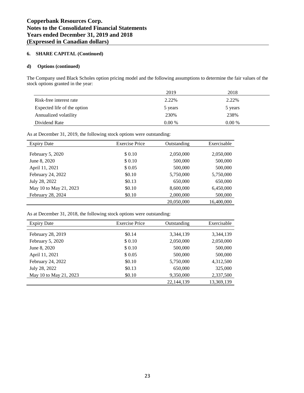#### **6. SHARE CAPITAL (Continued)**

#### **d) Options (continued)**

The Company used Black Scholes option pricing model and the following assumptions to determine the fair values of the stock options granted in the year:

|                             | 2019     | 2018     |
|-----------------------------|----------|----------|
| Risk-free interest rate     | 2.22%    | 2.22%    |
| Expected life of the option | 5 years  | 5 years  |
| Annualized volatility       | 230%     | 238%     |
| Dividend Rate               | $0.00\%$ | $0.00\%$ |

As at December 31, 2019, the following stock options were outstanding:

| <b>Expiry Date</b>     | <b>Exercise Price</b> | Outstanding | Exercisable |
|------------------------|-----------------------|-------------|-------------|
|                        |                       |             |             |
| February 5, 2020       | \$0.10                | 2,050,000   | 2,050,000   |
| June 8, 2020           | \$0.10                | 500,000     | 500,000     |
| April 11, 2021         | \$0.05                | 500,000     | 500,000     |
| February 24, 2022      | \$0.10                | 5,750,000   | 5,750,000   |
| July 28, 2022          | \$0.13                | 650,000     | 650,000     |
| May 10 to May 21, 2023 | \$0.10                | 8,600,000   | 6,450,000   |
| February 28, 2024      | \$0.10                | 2,000,000   | 500,000     |
|                        |                       | 20,050,000  | 16,400,000  |

As at December 31, 2018, the following stock options were outstanding:

| <b>Expiry Date</b>     | <b>Exercise Price</b> | Outstanding | Exercisable |
|------------------------|-----------------------|-------------|-------------|
|                        |                       |             |             |
| February 28, 2019      | \$0.14                | 3,344,139   | 3,344,139   |
| February 5, 2020       | \$ 0.10               | 2,050,000   | 2,050,000   |
| June 8, 2020           | \$ 0.10               | 500,000     | 500,000     |
| April 11, 2021         | \$0.05                | 500,000     | 500,000     |
| February 24, 2022      | \$0.10                | 5,750,000   | 4,312,500   |
| July 28, 2022          | \$0.13                | 650,000     | 325,000     |
| May 10 to May 21, 2023 | \$0.10                | 9,350,000   | 2,337,500   |
|                        |                       | 22,144,139  | 13,369,139  |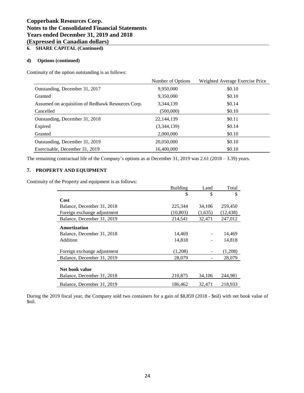# **Copperbank Resources Corp. Notes to the Consolidated Financial Statements Years ended December 31, 2019 and 2018 (Expressed in Canadian dollars)**

# **6. SHARE CAPITAL (Continued)**

# **d) Options (continued)**

Continuity of the option outstanding is as follows:

|                                                   | Number of Options | Weighted Average Exercise Price |
|---------------------------------------------------|-------------------|---------------------------------|
| Outstanding, December 31, 2017                    | 9,950,000         | \$0.10                          |
| Granted                                           | 9,350,000         | \$0.10                          |
| Assumed on acquisition of Redhawk Resources Corp. | 3,344,139         | \$0.14                          |
| Cancelled                                         | (500,000)         | \$0.10                          |
| Outstanding, December 31, 2018                    | 22,144,139        | \$0.11                          |
| Expired                                           | (3,344,139)       | \$0.14                          |
| Granted                                           | 2,000,000         | \$0.10                          |
| Outstanding, December 31, 2019                    | 20,050,000        | \$0.10                          |
| Exercisable, December 31, 2019                    | 16,400,000        | \$0.10                          |

The remaining contractual life of the Company's options as at December 31, 2019 was 2.61 (2018 – 3.39) years.

# **7. PROPERTY AND EQUIPMENT**

Continuity of the Property and equipment is as follows:

|                             | <b>Building</b> | Land    | Total     |
|-----------------------------|-----------------|---------|-----------|
|                             | \$              | \$      | \$        |
| Cost                        |                 |         |           |
| Balance, December 31, 2018  | 225,344         | 34,106  | 259,450   |
| Foreign exchange adjustment | (10, 803)       | (1,635) | (12, 438) |
| Balance, December 31, 2019  | 214,541         | 32,471  | 247,012   |
| Amortization                |                 |         |           |
| Balance, December 31, 2018  | 14.469          |         | 14,469    |
| Addition                    | 14,818          |         | 14,818    |
| Foreign exchange adjustment | (1,208)         |         | (1,208)   |
| Balance, December 31, 2019  | 28,079          |         | 28,079    |
|                             |                 |         |           |
| Net book value              |                 |         |           |
| Balance, December 31, 2018  | 210,875         | 34,106  | 244,981   |
| Balance, December 31, 2019  | 186,462         | 32,471  | 218,933   |

During the 2019 fiscal year, the Company sold two containers for a gain of \$8,859 (2018 - \$nil) with net book value of \$nil.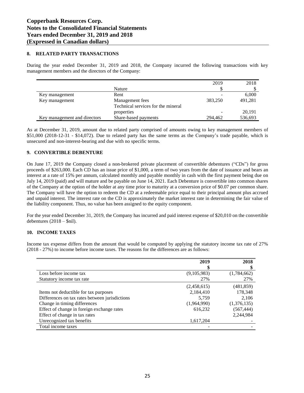#### **8. RELATED PARTY TRANSACTIONS**

During the year ended December 31, 2019 and 2018, the Company incurred the following transactions with key management members and the directors of the Company:

|                              |                                    | 2019    | 2018    |
|------------------------------|------------------------------------|---------|---------|
|                              | Nature                             |         |         |
| Key management               | Rent                               |         | 6,000   |
| Key management               | Management fees                    | 383,250 | 491,281 |
|                              | Technical services for the mineral |         |         |
|                              | properties                         | -       | 20,191  |
| Key management and directors | Share-based payments               | 294,462 | 536,693 |

As at December 31, 2019, amount due to related party comprised of amounts owing to key management members of \$51,000 (2018-12-31 - \$14,072). Due to related party has the same terms as the Company's trade payable, which is unsecured and non-interest-bearing and due with no specific terms.

# **9. CONVERTIBLE DEBENTURE**

On June 17, 2019 the Company closed a non-brokered private placement of convertible debentures ("CDs") for gross proceeds of \$263,000. Each CD has an issue price of \$1,000, a term of two years from the date of issuance and bears an interest at a rate of 15% per annum, calculated monthly and payable monthly in cash with the first payment being due on July 14, 2019 (paid) and will mature and be payable on June 14, 2021. Each Debenture is convertible into common shares of the Company at the option of the holder at any time prior to maturity at a conversion price of \$0.07 per common share. The Company will have the option to redeem the CD at a redeemable price equal to their principal amount plus accrued and unpaid interest. The interest rate on the CD is approximately the market interest rate in determining the fair value of the liability component. Thus, no value has been assigned to the equity component.

For the year ended December 31, 2019, the Company has incurred and paid interest expense of \$20,010 on the convertible debentures  $(2018 - $nil).$ 

# **10. INCOME TAXES**

Income tax expense differs from the amount that would be computed by applying the statutory income tax rate of 27% (2018 - 27%) to income before income taxes. The reasons for the differences are as follows:

|                                                | 2019<br>S   | 2018        |
|------------------------------------------------|-------------|-------------|
| Loss before income tax                         | (9,105,983) | (1,784,662) |
| Statutory income tax rate                      | 27%         | 27%         |
|                                                | (2,458,615) | (481, 859)  |
| Items not deductible for tax purposes          | 2,184,410   | 178,348     |
| Differences on tax rates between jurisdictions | 5.759       | 2,106       |
| Change in timing differences                   | (1,964,990) | (1,376,135) |
| Effect of change in foreign exchange rates     | 616,232     | (567, 444)  |
| Effect of change in tax rates                  |             | 2,244,984   |
| Unrecognized tax benefits                      | 1,617,204   |             |
| Total income taxes                             |             |             |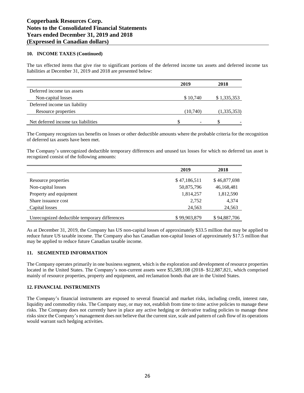# **10. INCOME TAXES (Continued)**

The tax effected items that give rise to significant portions of the deferred income tax assets and deferred income tax liabilities at December 31, 2019 and 2018 are presented below:

| 2019                     | 2018        |
|--------------------------|-------------|
|                          |             |
| \$10,740                 | \$1,335,353 |
|                          |             |
| (10,740)                 | (1,335,353) |
| $\overline{\phantom{0}}$ |             |
|                          |             |

 $\overline{a}$ The Company recognizes tax benefits on losses or other deductible amounts where the probable criteria for the recognition of defaund ten except have been met. of deferred tax assets have been met.

The Company's unrecognized deductible temporary differences and unused tax losses for which no deferred tax asset is recognized consist of the following amounts:

|                                               | 2019         | 2018         |
|-----------------------------------------------|--------------|--------------|
|                                               |              |              |
| Resource properties                           | \$47,186,511 | \$46,877,698 |
| Non-capital losses                            | 50,875,796   | 46,168,481   |
| Property and equipment                        | 1,814,257    | 1,812,590    |
| Share issuance cost                           | 2,752        | 4,374        |
| Capital losses                                | 24,563       | 24,563       |
|                                               |              |              |
| Unrecognized deductible temporary differences | \$99,903,879 | \$94,887,706 |

As at December 31, 2019, the Company has US non-capital losses of approximately \$33.5 million that may be applied to reduce future US taxable income. The Company also has Canadian non-capital losses of approximately \$17.5 million that may be applied to reduce future Canadian taxable income.

# **11. SEGMENTED INFORMATION**

The Company operates primarily in one business segment, which is the exploration and development of resource properties located in the United States. The Company's non-current assets were \$5,589,108 (2018- \$12,887,821, which comprised mainly of resource properties, property and equipment, and reclamation bonds that are in the United States.

#### **12. FINANCIAL INSTRUMENTS**

The Company's financial instruments are exposed to several financial and market risks, including credit, interest rate, liquidity and commodity risks. The Company may, or may not, establish from time to time active policies to manage these risks. The Company does not currently have in place any active hedging or derivative trading policies to manage these risks since the Company's management does not believe that the current size, scale and pattern of cash flow of its operations would warrant such hedging activities.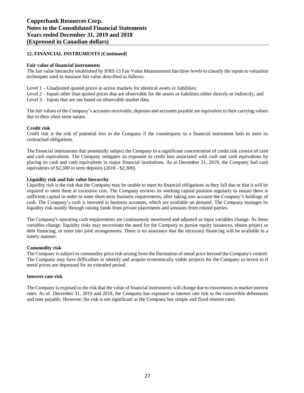#### **12. FINANCIAL INSTRUMENTS (Continued)**

#### **Fair value of financial instruments**

The fair value hierarchy established by IFRS 13 Fair Value Measurement has three levels to classify the inputs to valuation techniques used to measure fair value described as follows:

Level 1 – Unadjusted quoted prices in active markets for identical assets or liabilities;

Level 2 – Inputs other than quoted prices that are observable for the assets or liabilities either directly or indirectly; and Level 3 – Inputs that are not based on observable market data.

The fair values of the Company's accounts receivable, deposits and accounts payable are equivalent to their carrying values due to their short-term nature.

#### **Credit risk**

Credit risk is the risk of potential loss to the Company if the counterparty to a financial instrument fails to meet its contractual obligations.

The financial instruments that potentially subject the Company to a significant concentration of credit risk consist of cash and cash equivalents. The Company mitigates its exposure to credit loss associated with cash and cash equivalents by placing its cash and cash equivalents in major financial institutions. As at December 31, 2019, the Company had cash equivalents of \$2,300 in term deposits (2018 - \$2,300).

#### **Liquidity risk and fair value hierarchy**

Liquidity risk is the risk that the Company may be unable to meet its financial obligations as they fall due or that it will be required to meet them at excessive cost. The Company reviews its working capital position regularly to ensure there is sufficient capital in order to meet short-term business requirements, after taking into account the Company's holdings of cash. The Company's cash is invested in business accounts, which are available on demand. The Company manages its liquidity risk mainly through raising funds from private placements and amounts from related parties.

The Company's operating cash requirements are continuously monitored and adjusted as input variables change. As these variables change, liquidity risks may necessitate the need for the Company to pursue equity issuances, obtain project or debt financing, or enter into joint arrangements. There is no assurance that the necessary financing will be available in a timely manner.

#### **Commodity risk**

The Company is subject to commodity price risk arising from the fluctuation of metal price beyond the Company's control. The Company may have difficulties to identify and acquire economically viable projects for the Company to invest in if metal prices are depressed for an extended period.

#### **Interest rate risk**

The Company is exposed to the risk that the value of financial instruments will change due to movements in market interest rates. As of December 31, 2019 and 2018, the Company has exposure to interest rate risk to the convertible debentures and note payable. However, the risk is not significant as the Company has simple and fixed interest rates.